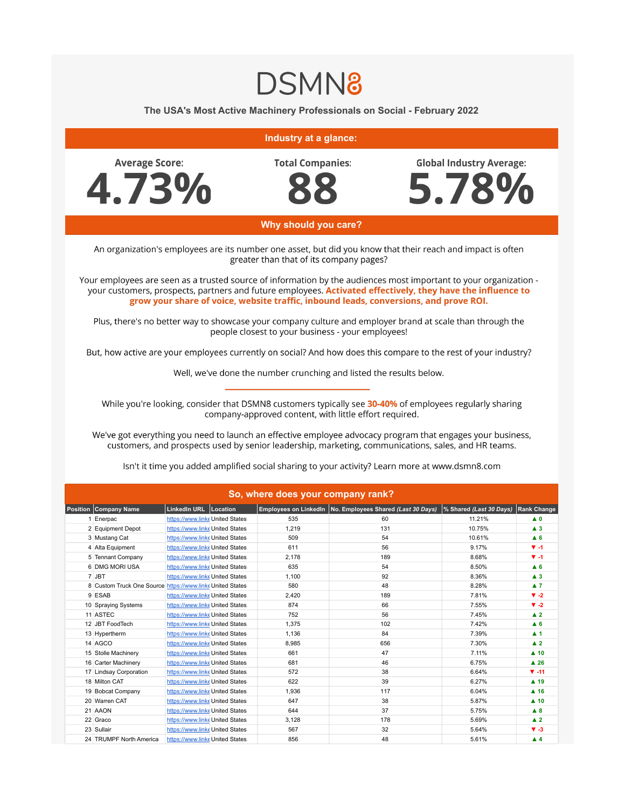## **DSMN8**

The USA's Most Active Machinery Professionals on Social - February 2022

## Industry at a glance: **Average Score: Total Companies: Global Industry Average:** 5.78% 4.73% Why should you care? An organization's employees are its number one asset, but did you know that their reach and impact is often greater than that of its company pages? Your employees are seen as a trusted source of information by the audiences most important to your organization your customers, prospects, partners and future employees. Activated effectively, they have the influence to grow your share of voice, website traffic, inbound leads, conversions, and prove ROI.

Plus, there's no better way to showcase your company culture and employer brand at scale than through the people closest to your business - your employees!

But, how active are your employees currently on social? And how does this compare to the rest of your industry?

Well, we've done the number crunching and listed the results below.

While you're looking, consider that DSMN8 customers typically see 30-40% of employees regularly sharing company-approved content, with little effort required.

We've got everything you need to launch an effective employee advocacy program that engages your business, customers, and prospects used by senior leadership, marketing, communications, sales, and HR teams.

| So, where does your company rank? |                                                          |                                 |  |       |                                                             |                         |                     |  |  |  |  |  |
|-----------------------------------|----------------------------------------------------------|---------------------------------|--|-------|-------------------------------------------------------------|-------------------------|---------------------|--|--|--|--|--|
|                                   | <b>Position Company Name</b>                             | LinkedIn URL   Location         |  |       | Employees on LinkedIn   No. Employees Shared (Last 30 Days) | % Shared (Last 30 Days) | <b>Rank Change</b>  |  |  |  |  |  |
|                                   | 1 Enerpac                                                | https://www.linke United States |  | 535   | 60                                                          | 11.21%                  | $\blacktriangle$ 0  |  |  |  |  |  |
|                                   | 2 Equipment Depot                                        | https://www.linke United States |  | 1.219 | 131                                                         | 10.75%                  | $\blacktriangle$ 3  |  |  |  |  |  |
|                                   | 3 Mustang Cat                                            | https://www.linke United States |  | 509   | 54                                                          | 10.61%                  | $A$ <sub>6</sub>    |  |  |  |  |  |
|                                   | 4 Alta Equipment                                         | https://www.linke United States |  | 611   | 56                                                          | 9.17%                   | $V - 1$             |  |  |  |  |  |
|                                   | 5 Tennant Company                                        | https://www.linke United States |  | 2,178 | 189                                                         | 8.68%                   | $V - 1$             |  |  |  |  |  |
|                                   | 6 DMG MORI USA                                           | https://www.linke United States |  | 635   | 54                                                          | 8.50%                   | $A$ <sub>6</sub>    |  |  |  |  |  |
|                                   | 7 JBT                                                    | https://www.linke United States |  | 1.100 | 92                                                          | 8.36%                   | $\blacktriangle$ 3  |  |  |  |  |  |
|                                   | 8 Custom Truck One Source https://www.linkeUnited States |                                 |  | 580   | 48                                                          | 8.28%                   | $\blacktriangle$ 7  |  |  |  |  |  |
|                                   | 9 ESAB                                                   | https://www.linke United States |  | 2,420 | 189                                                         | 7.81%                   | $\Psi -2$           |  |  |  |  |  |
|                                   | 10 Spraying Systems                                      | https://www.linke United States |  | 874   | 66                                                          | 7.55%                   | $\Psi -2$           |  |  |  |  |  |
|                                   | 11 ASTEC                                                 | https://www.linke United States |  | 752   | 56                                                          | 7.45%                   | $\blacktriangle$ 2  |  |  |  |  |  |
|                                   | 12 JBT FoodTech                                          | https://www.linke United States |  | 1.375 | 102                                                         | 7.42%                   | $A$ <sub>6</sub>    |  |  |  |  |  |
|                                   | 13 Hypertherm                                            | https://www.linke United States |  | 1.136 | 84                                                          | 7.39%                   | $\blacktriangle$ 1  |  |  |  |  |  |
|                                   | 14 AGCO                                                  | https://www.linke United States |  | 8,985 | 656                                                         | 7.30%                   | $\blacktriangle$ 2  |  |  |  |  |  |
|                                   | 15 Stolle Machinery                                      | https://www.linke United States |  | 661   | 47                                                          | 7.11%                   | $\blacktriangle$ 10 |  |  |  |  |  |
|                                   | 16 Carter Machinery                                      | https://www.linke United States |  | 681   | 46                                                          | 6.75%                   | $\blacktriangle$ 26 |  |  |  |  |  |
|                                   | 17 Lindsay Corporation                                   | https://www.linke United States |  | 572   | 38                                                          | 6.64%                   | $V - 11$            |  |  |  |  |  |
|                                   | 18 Milton CAT                                            | https://www.linke United States |  | 622   | 39                                                          | 6.27%                   | $\blacktriangle$ 19 |  |  |  |  |  |
|                                   | 19 Bobcat Company                                        | https://www.linke United States |  | 1.936 | 117                                                         | 6.04%                   | $A$ 16              |  |  |  |  |  |
|                                   | 20 Warren CAT                                            | https://www.linke United States |  | 647   | 38                                                          | 5.87%                   | $\blacktriangle$ 10 |  |  |  |  |  |
|                                   | 21 AAON                                                  | https://www.linke United States |  | 644   | 37                                                          | 5.75%                   | A 8                 |  |  |  |  |  |
|                                   | 22 Graco                                                 | https://www.linke United States |  | 3,128 | 178                                                         | 5.69%                   | $\blacktriangle$ 2  |  |  |  |  |  |
|                                   | 23 Sullair                                               | https://www.linke United States |  | 567   | 32                                                          | 5.64%                   | $V - 3$             |  |  |  |  |  |
|                                   | 24 TRUMPF North America                                  | https://www.linke United States |  | 856   | 48                                                          | 5.61%                   | $\blacktriangle$ 4  |  |  |  |  |  |

Isn't it time you added amplified social sharing to your activity? Learn more at www.dsmn8.com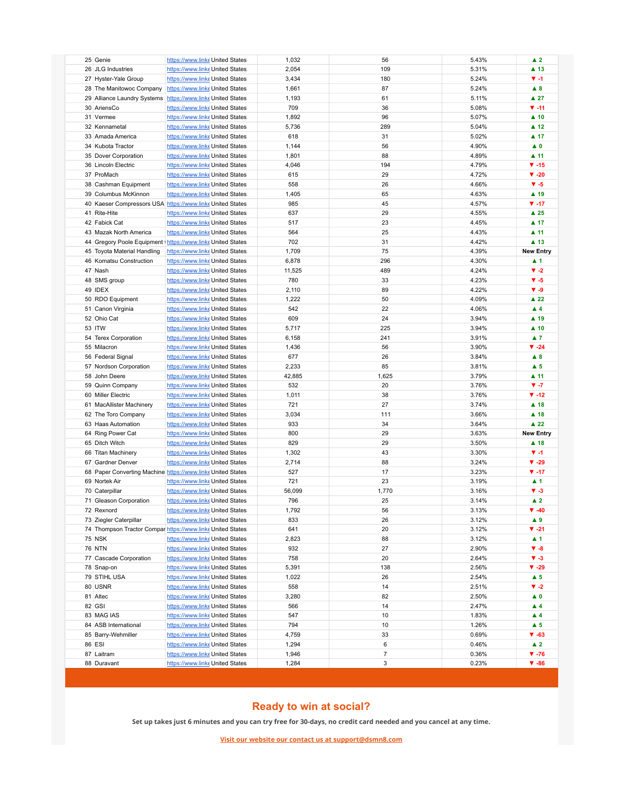| 25 Genie                                                     | https://www.linke United States                                    |  | 1,032         | 56             | 5.43%          | $\blacktriangle$ 2            |
|--------------------------------------------------------------|--------------------------------------------------------------------|--|---------------|----------------|----------------|-------------------------------|
| 26 JLG Industries                                            | https://www.linke United States                                    |  | 2,054         | 109            | 5.31%          | ▲ 13                          |
| 27 Hyster-Yale Group                                         | https://www.linke United States                                    |  | 3,434         | 180            | 5.24%          | $V - 1$                       |
| 28 The Manitowoc Company                                     | https://www.linke United States                                    |  | 1,661         | 87             | 5.24%          | A 8                           |
| 29 Alliance Laundry Systems                                  | https://www.linke United States                                    |  | 1,193         | 61             | 5.11%          | $\blacktriangle$ 27           |
| 30 AriensCo                                                  | https://www.linke United States                                    |  | 709           | 36             | 5.08%          | $\Psi - 11$                   |
| 31 Vermee                                                    | https://www.linke United States                                    |  | 1,892         | 96             | 5.07%          | $\blacktriangle$ 10           |
| 32 Kennametal                                                | https://www.linke United States                                    |  | 5,736         | 289            | 5.04%          | $\blacktriangle$ 12           |
| 33 Amada America                                             | https://www.linke United States                                    |  | 618           | 31             | 5.02%          | $\blacktriangle$ 17           |
| 34 Kubota Tractor                                            | https://www.linke United States                                    |  | 1,144         | 56             | 4.90%          | $\blacktriangle$ 0            |
| 35 Dover Corporation                                         | https://www.linke United States                                    |  | 1,801         | 88             | 4.89%          | $\blacktriangle$ 11           |
| 36 Lincoln Electric                                          | https://www.linke United States                                    |  | 4,046         | 194            | 4.79%          | $\Psi - 15$                   |
| 37 ProMach                                                   | https://www.linke United States                                    |  | 615           | 29             | 4.72%          | $\blacktriangledown$ -20      |
| 38 Cashman Equipment                                         | https://www.linke United States                                    |  | 558           | 26             | 4.66%          | $V - 5$                       |
| 39 Columbus McKinnon                                         | https://www.linke United States                                    |  | 1,405         | 65             | 4.63%          | ▲ 19                          |
| 40 Kaeser Compressors USA https://www.linke United States    |                                                                    |  | 985           | 45             | 4.57%          | $\Psi - 17$                   |
| 41 Rite-Hite                                                 | https://www.linke United States                                    |  | 637           | 29             | 4.55%          | $\blacktriangle$ 25           |
| 42 Fabick Cat                                                | https://www.linke United States                                    |  | 517           | 23             | 4.45%          | $\blacktriangle$ 17           |
| 43 Mazak North America                                       | https://www.linke United States                                    |  | 564           | 25             | 4.43%          | $\blacktriangle$ 11           |
| 44 Gregory Poole Equipment   https://www.linke United States |                                                                    |  | 702           | 31             | 4.42%          | $\blacktriangle$ 13           |
| 45 Toyota Material Handling                                  | https://www.linke United States                                    |  | 1,709         | 75             | 4.39%          | <b>New Entry</b>              |
| 46 Komatsu Construction                                      | https://www.linke United States                                    |  | 6,878         | 296            | 4.30%          | $\blacktriangle$ 1            |
| 47 Nash                                                      | https://www.linke United States                                    |  | 11,525        | 489            | 4.24%          | $\blacktriangledown -2$       |
| 48 SMS group                                                 | https://www.linke United States                                    |  | 780           | 33             | 4.23%          | $V - 5$                       |
| 49 IDEX                                                      | https://www.linke United States                                    |  | 2,110         | 89             | 4.22%          | $V - 9$                       |
| 50 RDO Equipment                                             | https://www.linke United States                                    |  | 1,222         | 50             | 4.09%          | $\blacktriangle$ 22           |
| 51 Canon Virginia                                            | https://www.linke United States                                    |  | 542           | 22             | 4.06%          | $\blacktriangle$ 4            |
| 52 Ohio Cat                                                  | https://www.linke United States                                    |  | 609           | 24             | 3.94%          | $\blacktriangle$ 19           |
| 53 ITW                                                       | https://www.linke United States                                    |  | 5,717         | 225            | 3.94%          | $\blacktriangle$ 10           |
| 54 Terex Corporation                                         | https://www.linke United States                                    |  | 6,158         | 241            | 3.91%          | $\blacktriangle$ 7            |
| 55 Milacron                                                  | https://www.linke United States                                    |  | 1,436         | 56             | 3.90%          | $\Psi -24$                    |
| 56 Federal Signal                                            | https://www.linke United States                                    |  | 677           | 26             | 3.84%          | $\blacktriangle$ 8            |
| 57 Nordson Corporation                                       | https://www.linke United States                                    |  | 2,233         | 85             | 3.81%          | $\blacktriangle$ 5            |
| 58 John Deere                                                | https://www.linke United States                                    |  | 42,885        | 1,625          | 3.79%          | $\blacktriangle$ 11           |
| 59 Quinn Company                                             | https://www.linke United States                                    |  | 532           | 20             | 3.76%          | $V - 7$                       |
| 60 Miller Electric                                           | https://www.linke United States                                    |  | 1,011         | 38             | 3.76%          | $\P$ -12                      |
| 61 MacAllister Machinery                                     | https://www.linke United States                                    |  | 721           | 27             | 3.74%          | $\blacktriangle$ 18           |
| 62 The Toro Company                                          | https://www.linke United States                                    |  | 3,034         | 111            | 3.66%          | $\blacktriangle$ 18           |
| 63 Haas Automation                                           | https://www.linke United States                                    |  | 933           | 34             | 3.64%          | $\blacktriangle$ 22           |
| 64 Ring Power Cat                                            | https://www.linke United States                                    |  | 800           | 29             | 3.63%          | <b>New Entry</b>              |
| 65 Ditch Witch                                               | https://www.linke United States                                    |  | 829           | 29             | 3.50%          | $\blacktriangle$ 18           |
| 66 Titan Machinery                                           | https://www.linke United States                                    |  | 1,302         | 43             | 3.30%          | $\Psi - 1$                    |
| 67 Gardner Denver                                            | https://www.linke United States                                    |  | 2,714         | 88             | 3.24%          | $\Psi - 29$                   |
| 68 Paper Converting Machine https://www.linke United States  |                                                                    |  | 527           | 17             | 3.23%          | $\Psi - 17$                   |
| 69 Nortek Air                                                | https://www.linke United States                                    |  | 721           | 23             | 3.19%          | $\blacktriangle$ 1            |
| 70 Caterpillar<br>71 Gleason Corporation                     | https://www.linke United States                                    |  | 56,099<br>796 | 1,770<br>25    | 3.16%          | $V - 3$<br>$\blacktriangle$ 2 |
| 72 Rexnord                                                   | https://www.linke United States<br>https://www.linke United States |  | 1,792         | 56             | 3.14%<br>3.13% | $\Psi - 40$                   |
| 73 Ziegler Caterpillar                                       | https://www.linke United States                                    |  | 833           | 26             | 3.12%          | $\blacktriangle$ 9            |
| 74 Thompson Tractor Compar https://www.linke United States   |                                                                    |  | 641           | 20             | 3.12%          | $\Psi -21$                    |
| <b>75 NSK</b>                                                | https://www.linke United States                                    |  | 2,823         | 88             | 3.12%          | $\blacktriangle$ 1            |
| <b>76 NTN</b>                                                | https://www.linke United States                                    |  | 932           | 27             | 2.90%          | $V - 8$                       |
| 77 Cascade Corporation                                       | https://www.linke United States                                    |  | 758           | 20             | 2.64%          | $\blacktriangledown -3$       |
| 78 Snap-on                                                   | https://www.linke United States                                    |  | 5,391         | 138            | 2.56%          | $\Psi - 29$                   |
| 79 STIHL USA                                                 | https://www.linke United States                                    |  | 1,022         | 26             | 2.54%          | $\blacktriangle$ 5            |
| 80 USNR                                                      | https://www.linke United States                                    |  | 558           | 14             | 2.51%          | $\blacktriangledown -2$       |
| 81 Altec                                                     | https://www.linke United States                                    |  | 3,280         | 82             | 2.50%          | $\blacktriangle$ 0            |
| 82 GSI                                                       | https://www.linke United States                                    |  | 566           | 14             | 2.47%          | $\blacktriangle$ 4            |
| 83 MAG IAS                                                   | https://www.linke United States                                    |  | 547           | 10             | 1.83%          | $\blacktriangle$ 4            |
| 84 ASB International                                         | https://www.linke United States                                    |  | 794           | 10             | 1.26%          | $\blacktriangle$ 5            |
| 85 Barry-Wehmiller                                           | https://www.linke United States                                    |  | 4,759         | 33             | 0.69%          | $\Psi - 63$                   |
| 86 ESI                                                       | https://www.linke United States                                    |  | 1,294         | 6              | 0.46%          | $\blacktriangle$ 2            |
| 87 Laitram                                                   | https://www.linke United States                                    |  | 1,946         | $\overline{7}$ | 0.36%          | $\Psi - 76$                   |
| 88 Duravant                                                  | https://www.linke United States                                    |  | 1,284         | 3              | 0.23%          | $\Psi - 86$                   |
|                                                              |                                                                    |  |               |                |                |                               |

## **Ready to win at social?**

**Set up takes just 6 minutes and you can try free for 30-days, no credit card needed and you cancel at any time.**

**Visit our website our contact us at support@dsmn8.com**